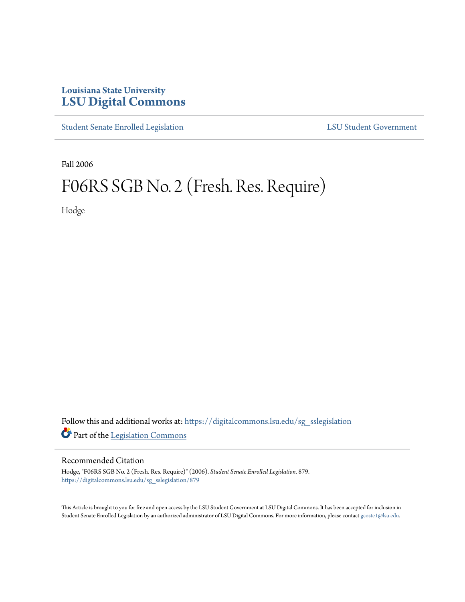## **Louisiana State University [LSU Digital Commons](https://digitalcommons.lsu.edu?utm_source=digitalcommons.lsu.edu%2Fsg_sslegislation%2F879&utm_medium=PDF&utm_campaign=PDFCoverPages)**

[Student Senate Enrolled Legislation](https://digitalcommons.lsu.edu/sg_sslegislation?utm_source=digitalcommons.lsu.edu%2Fsg_sslegislation%2F879&utm_medium=PDF&utm_campaign=PDFCoverPages) [LSU Student Government](https://digitalcommons.lsu.edu/sg?utm_source=digitalcommons.lsu.edu%2Fsg_sslegislation%2F879&utm_medium=PDF&utm_campaign=PDFCoverPages)

Fall 2006

## F06RS SGB No. 2 (Fresh. Res. Require)

Hodge

Follow this and additional works at: [https://digitalcommons.lsu.edu/sg\\_sslegislation](https://digitalcommons.lsu.edu/sg_sslegislation?utm_source=digitalcommons.lsu.edu%2Fsg_sslegislation%2F879&utm_medium=PDF&utm_campaign=PDFCoverPages) Part of the [Legislation Commons](http://network.bepress.com/hgg/discipline/859?utm_source=digitalcommons.lsu.edu%2Fsg_sslegislation%2F879&utm_medium=PDF&utm_campaign=PDFCoverPages)

## Recommended Citation

Hodge, "F06RS SGB No. 2 (Fresh. Res. Require)" (2006). *Student Senate Enrolled Legislation*. 879. [https://digitalcommons.lsu.edu/sg\\_sslegislation/879](https://digitalcommons.lsu.edu/sg_sslegislation/879?utm_source=digitalcommons.lsu.edu%2Fsg_sslegislation%2F879&utm_medium=PDF&utm_campaign=PDFCoverPages)

This Article is brought to you for free and open access by the LSU Student Government at LSU Digital Commons. It has been accepted for inclusion in Student Senate Enrolled Legislation by an authorized administrator of LSU Digital Commons. For more information, please contact [gcoste1@lsu.edu.](mailto:gcoste1@lsu.edu)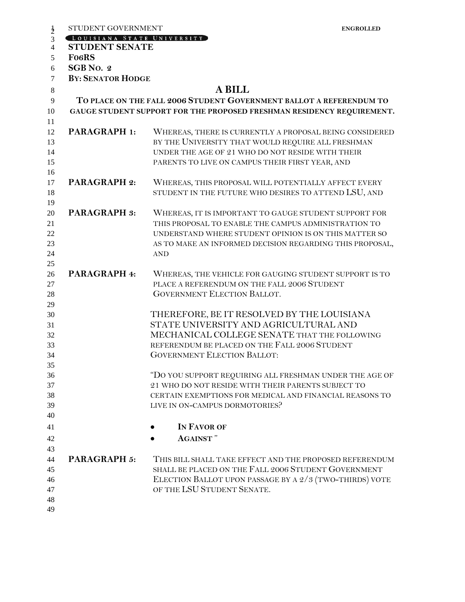|                                  | STUDENT GOVERNMENT         |                                                                                                                                                                                                                                                  | <b>ENGROLLED</b> |
|----------------------------------|----------------------------|--------------------------------------------------------------------------------------------------------------------------------------------------------------------------------------------------------------------------------------------------|------------------|
| $\frac{1}{2}$                    | LOUISIANA STATE UNIVERSITY |                                                                                                                                                                                                                                                  |                  |
| $\overline{4}$                   | <b>STUDENT SENATE</b>      |                                                                                                                                                                                                                                                  |                  |
| 5                                | Fo <sub>6</sub> RS         |                                                                                                                                                                                                                                                  |                  |
| 6                                | SGB No. 2                  |                                                                                                                                                                                                                                                  |                  |
| $\tau$                           | <b>BY: SENATOR HODGE</b>   |                                                                                                                                                                                                                                                  |                  |
| $\,8\,$                          |                            | <b>A BILL</b>                                                                                                                                                                                                                                    |                  |
| 9                                |                            | TO PLACE ON THE FALL 2006 STUDENT GOVERNMENT BALLOT A REFERENDUM TO                                                                                                                                                                              |                  |
| 10<br>11                         |                            | GAUGE STUDENT SUPPORT FOR THE PROPOSED FRESHMAN RESIDENCY REQUIREMENT.                                                                                                                                                                           |                  |
| 12<br>13<br>14                   | <b>PARAGRAPH 1:</b>        | WHEREAS, THERE IS CURRENTLY A PROPOSAL BEING CONSIDERED<br>BY THE UNIVERSITY THAT WOULD REQUIRE ALL FRESHMAN<br>UNDER THE AGE OF 21 WHO DO NOT RESIDE WITH THEIR                                                                                 |                  |
| 15                               |                            | PARENTS TO LIVE ON CAMPUS THEIR FIRST YEAR, AND                                                                                                                                                                                                  |                  |
| 16<br>17<br>18                   | <b>PARAGRAPH 2:</b>        | WHEREAS, THIS PROPOSAL WILL POTENTIALLY AFFECT EVERY<br>STUDENT IN THE FUTURE WHO DESIRES TO ATTEND LSU, AND                                                                                                                                     |                  |
| 19<br>20<br>21<br>22<br>23<br>24 | <b>PARAGRAPH 3:</b>        | WHEREAS, IT IS IMPORTANT TO GAUGE STUDENT SUPPORT FOR<br>THIS PROPOSAL TO ENABLE THE CAMPUS ADMINISTRATION TO<br>UNDERSTAND WHERE STUDENT OPINION IS ON THIS MATTER SO<br>AS TO MAKE AN INFORMED DECISION REGARDING THIS PROPOSAL,<br><b>AND</b> |                  |
| 25                               |                            |                                                                                                                                                                                                                                                  |                  |
| 26<br>27<br>28                   | PARAGRAPH 4:               | WHEREAS, THE VEHICLE FOR GAUGING STUDENT SUPPORT IS TO<br>PLACE A REFERENDUM ON THE FALL 2006 STUDENT<br>GOVERNMENT ELECTION BALLOT.                                                                                                             |                  |
| 29<br>30<br>31<br>32<br>33<br>34 |                            | THEREFORE, BE IT RESOLVED BY THE LOUISIANA<br>STATE UNIVERSITY AND AGRICULTURAL AND<br>MECHANICAL COLLEGE SENATE THAT THE FOLLOWING<br>REFERENDUM BE PLACED ON THE FALL 2006 STUDENT<br><b>GOVERNMENT ELECTION BALLOT:</b>                       |                  |
| 35<br>36<br>37<br>38<br>39<br>40 |                            | "DO YOU SUPPORT REQUIRING ALL FRESHMAN UNDER THE AGE OF<br>21 WHO DO NOT RESIDE WITH THEIR PARENTS SUBJECT TO<br>CERTAIN EXEMPTIONS FOR MEDICAL AND FINANCIAL REASONS TO<br>LIVE IN ON-CAMPUS DORMOTORIES?                                       |                  |
| 41                               |                            | IN FAVOR OF                                                                                                                                                                                                                                      |                  |
|                                  |                            | <b>AGAINST</b> "                                                                                                                                                                                                                                 |                  |
| 42                               |                            |                                                                                                                                                                                                                                                  |                  |
| 43<br>44<br>45<br>46<br>47       | <b>PARAGRAPH 5:</b>        | THIS BILL SHALL TAKE EFFECT AND THE PROPOSED REFERENDUM<br>SHALL BE PLACED ON THE FALL 2006 STUDENT GOVERNMENT<br>ELECTION BALLOT UPON PASSAGE BY A 2/3 (TWO-THIRDS) VOTE<br>OF THE LSU STUDENT SENATE.                                          |                  |
| 48<br>49                         |                            |                                                                                                                                                                                                                                                  |                  |